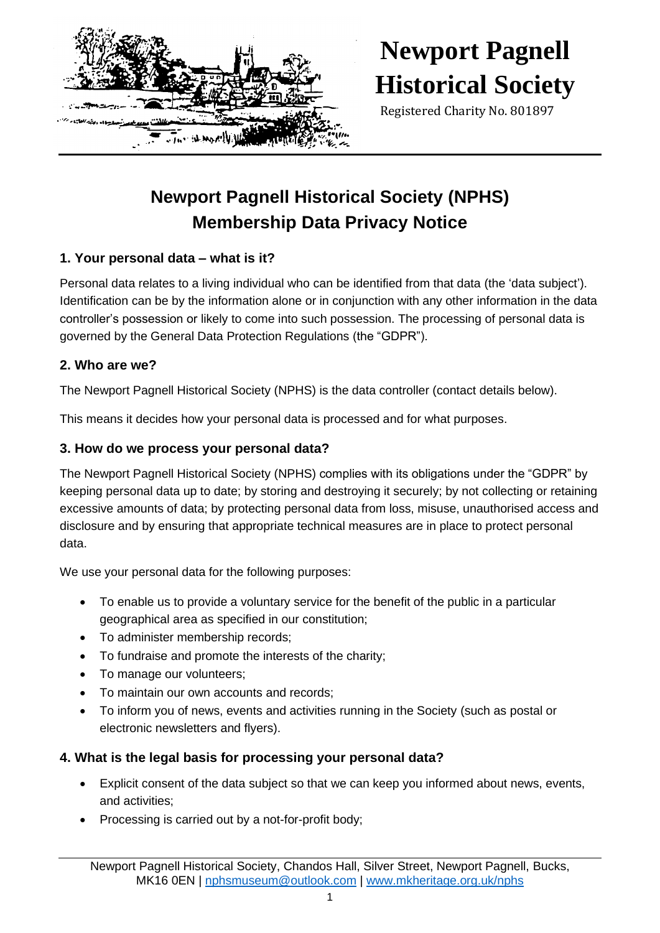

# **Newport Pagnell Historical Society**

Registered Charity No. 801897

# **Newport Pagnell Historical Society (NPHS) Membership Data Privacy Notice**

### **1. Your personal data – what is it?**

Personal data relates to a living individual who can be identified from that data (the 'data subject'). Identification can be by the information alone or in conjunction with any other information in the data controller's possession or likely to come into such possession. The processing of personal data is governed by the General Data Protection Regulations (the "GDPR").

### **2. Who are we?**

The Newport Pagnell Historical Society (NPHS) is the data controller (contact details below).

This means it decides how your personal data is processed and for what purposes.

### **3. How do we process your personal data?**

The Newport Pagnell Historical Society (NPHS) complies with its obligations under the "GDPR" by keeping personal data up to date; by storing and destroying it securely; by not collecting or retaining excessive amounts of data; by protecting personal data from loss, misuse, unauthorised access and disclosure and by ensuring that appropriate technical measures are in place to protect personal data.

We use your personal data for the following purposes:

- To enable us to provide a voluntary service for the benefit of the public in a particular geographical area as specified in our constitution;
- To administer membership records:
- To fundraise and promote the interests of the charity;
- To manage our volunteers;
- To maintain our own accounts and records;
- To inform you of news, events and activities running in the Society (such as postal or electronic newsletters and flyers).

### **4. What is the legal basis for processing your personal data?**

- Explicit consent of the data subject so that we can keep you informed about news, events, and activities;
- Processing is carried out by a not-for-profit body;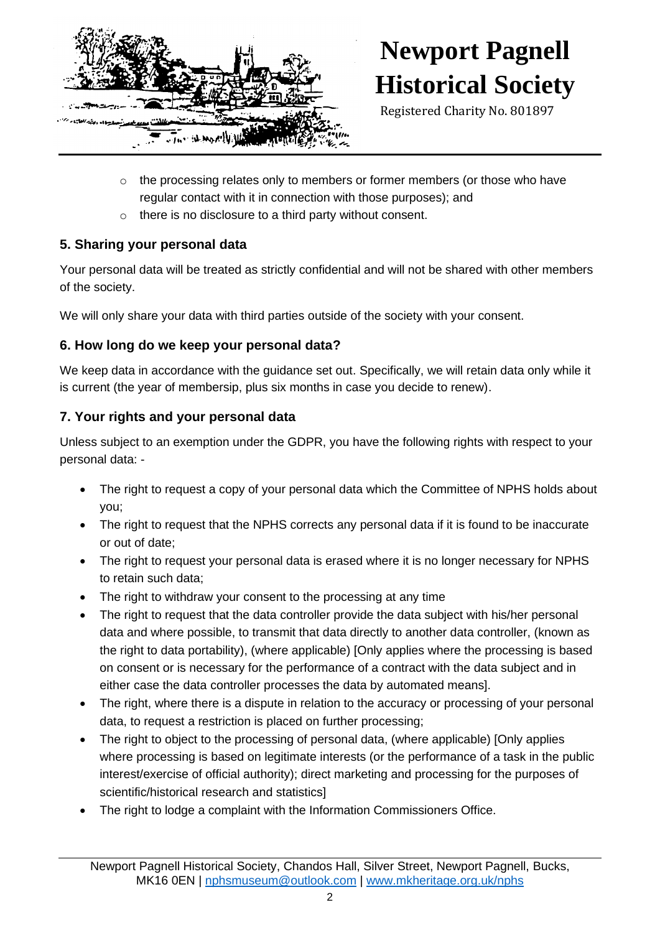

# **Newport Pagnell Historical Society**

Registered Charity No. 801897

- $\circ$  the processing relates only to members or former members (or those who have regular contact with it in connection with those purposes); and
- o there is no disclosure to a third party without consent.

# **5. Sharing your personal data**

Your personal data will be treated as strictly confidential and will not be shared with other members of the society.

We will only share your data with third parties outside of the society with your consent.

# **6. How long do we keep your personal data?**

We keep data in accordance with the guidance set out. Specifically, we will retain data only while it is current (the year of membersip, plus six months in case you decide to renew).

# **7. Your rights and your personal data**

Unless subject to an exemption under the GDPR, you have the following rights with respect to your personal data: -

- The right to request a copy of your personal data which the Committee of NPHS holds about you;
- The right to request that the NPHS corrects any personal data if it is found to be inaccurate or out of date;
- The right to request your personal data is erased where it is no longer necessary for NPHS to retain such data;
- The right to withdraw your consent to the processing at any time
- The right to request that the data controller provide the data subject with his/her personal data and where possible, to transmit that data directly to another data controller, (known as the right to data portability), (where applicable) [Only applies where the processing is based on consent or is necessary for the performance of a contract with the data subject and in either case the data controller processes the data by automated means].
- The right, where there is a dispute in relation to the accuracy or processing of your personal data, to request a restriction is placed on further processing;
- The right to object to the processing of personal data, (where applicable) [Only applies where processing is based on legitimate interests (or the performance of a task in the public interest/exercise of official authority); direct marketing and processing for the purposes of scientific/historical research and statistics]
- The right to lodge a complaint with the Information Commissioners Office.